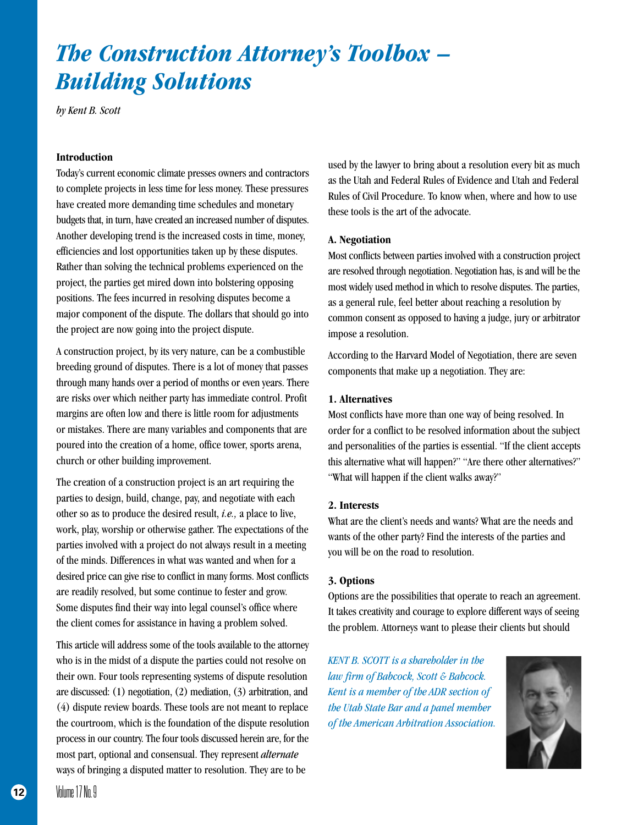# *The Construction Attorney's Toolbox – Building Solutions*

*by Kent B. Scott*

## **Introduction**

Today's current economic climate presses owners and contractors to complete projects in less time for less money. These pressures have created more demanding time schedules and monetary budgets that, in turn, have created an increased number of disputes. Another developing trend is the increased costs in time, money, efficiencies and lost opportunities taken up by these disputes. Rather than solving the technical problems experienced on the project, the parties get mired down into bolstering opposing positions. The fees incurred in resolving disputes become a major component of the dispute. The dollars that should go into the project are now going into the project dispute.

A construction project, by its very nature, can be a combustible breeding ground of disputes. There is a lot of money that passes through many hands over a period of months or even years. There are risks over which neither party has immediate control. Profit margins are often low and there is little room for adjustments or mistakes. There are many variables and components that are poured into the creation of a home, office tower, sports arena, church or other building improvement.

The creation of a construction project is an art requiring the parties to design, build, change, pay, and negotiate with each other so as to produce the desired result, *i.e.,* a place to live, work, play, worship or otherwise gather. The expectations of the parties involved with a project do not always result in a meeting of the minds. Differences in what was wanted and when for a desired price can give rise to conflict in many forms. Most conflicts are readily resolved, but some continue to fester and grow. Some disputes find their way into legal counsel's office where the client comes for assistance in having a problem solved.

This article will address some of the tools available to the attorney who is in the midst of a dispute the parties could not resolve on their own. Four tools representing systems of dispute resolution are discussed: (1) negotiation, (2) mediation, (3) arbitration, and (4) dispute review boards. These tools are not meant to replace the courtroom, which is the foundation of the dispute resolution process in our country. The four tools discussed herein are, for the most part, optional and consensual. They represent *alternate* ways of bringing a disputed matter to resolution. They are to be

used by the lawyer to bring about a resolution every bit as much as the Utah and Federal Rules of Evidence and Utah and Federal Rules of Civil Procedure. To know when, where and how to use these tools is the art of the advocate.

#### **A. Negotiation**

Most conflicts between parties involved with a construction project are resolved through negotiation. Negotiation has, is and will be the most widely used method in which to resolve disputes. The parties, as a general rule, feel better about reaching a resolution by common consent as opposed to having a judge, jury or arbitrator impose a resolution.

According to the Harvard Model of Negotiation, there are seven components that make up a negotiation. They are:

#### **1. Alternatives**

Most conflicts have more than one way of being resolved. In order for a conflict to be resolved information about the subject and personalities of the parties is essential. "If the client accepts this alternative what will happen?" "Are there other alternatives?" "What will happen if the client walks away?"

#### **2. Interests**

What are the client's needs and wants? What are the needs and wants of the other party? Find the interests of the parties and you will be on the road to resolution.

#### **3. Options**

Options are the possibilities that operate to reach an agreement. It takes creativity and courage to explore different ways of seeing the problem. Attorneys want to please their clients but should

*KENT B. SCOTT is a shareholder in the law firm of Babcock, Scott & Babcock. Kent is a member of the ADR section of the Utah State Bar and a panel member of the American Arbitration Association.*

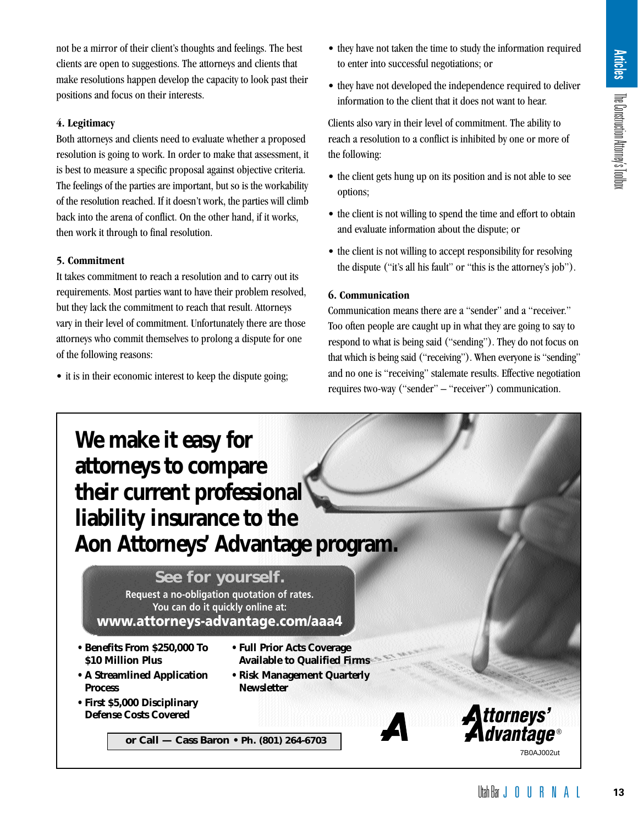not be a mirror of their client's thoughts and feelings. The best clients are open to suggestions. The attorneys and clients that make resolutions happen develop the capacity to look past their positions and focus on their interests.

# **4. Legitimacy**

Both attorneys and clients need to evaluate whether a proposed resolution is going to work. In order to make that assessment, it is best to measure a specific proposal against objective criteria. The feelings of the parties are important, but so is the workability of the resolution reached. If it doesn't work, the parties will climb back into the arena of conflict. On the other hand, if it works, then work it through to final resolution.

# **5. Commitment**

It takes commitment to reach a resolution and to carry out its requirements. Most parties want to have their problem resolved, but they lack the commitment to reach that result. Attorneys vary in their level of commitment. Unfortunately there are those attorneys who commit themselves to prolong a dispute for one of the following reasons:

• it is in their economic interest to keep the dispute going;

- they have not taken the time to study the information required to enter into successful negotiations; or
- they have not developed the independence required to deliver information to the client that it does not want to hear.

Clients also vary in their level of commitment. The ability to reach a resolution to a conflict is inhibited by one or more of the following:

- the client gets hung up on its position and is not able to see options;
- the client is not willing to spend the time and effort to obtain and evaluate information about the dispute; or
- the client is not willing to accept responsibility for resolving the dispute ("it's all his fault" or "this is the attorney's job").

# **6. Communication**

Communication means there are a "sender" and a "receiver." Too often people are caught up in what they are going to say to respond to what is being said ("sending"). They do not focus on that which is being said ("receiving"). When everyone is "sending" and no one is "receiving" stalemate results. Effective negotiation requires two-way ("sender" – "receiver") communication.

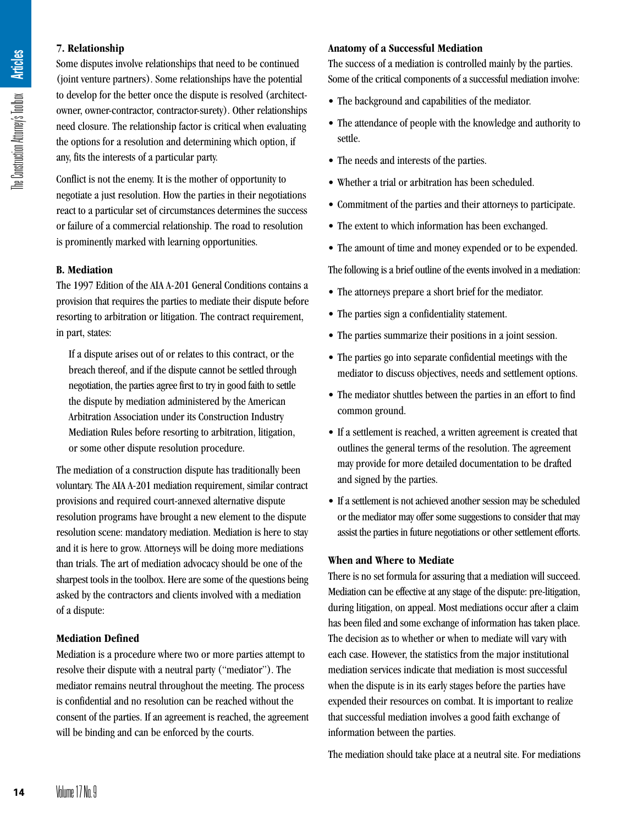# **7. Relationship**

Some disputes involve relationships that need to be continued (joint venture partners). Some relationships have the potential to develop for the better once the dispute is resolved (architectowner, owner-contractor, contractor-surety). Other relationships need closure. The relationship factor is critical when evaluating the options for a resolution and determining which option, if any, fits the interests of a particular party.

Conflict is not the enemy. It is the mother of opportunity to negotiate a just resolution. How the parties in their negotiations react to a particular set of circumstances determines the success or failure of a commercial relationship. The road to resolution is prominently marked with learning opportunities.

# **B. Mediation**

The 1997 Edition of the AIA A-201 General Conditions contains a provision that requires the parties to mediate their dispute before resorting to arbitration or litigation. The contract requirement, in part, states:

If a dispute arises out of or relates to this contract, or the breach thereof, and if the dispute cannot be settled through negotiation, the parties agree first to try in good faith to settle the dispute by mediation administered by the American Arbitration Association under its Construction Industry Mediation Rules before resorting to arbitration, litigation, or some other dispute resolution procedure.

The mediation of a construction dispute has traditionally been voluntary. The AIA A-201 mediation requirement, similar contract provisions and required court-annexed alternative dispute resolution programs have brought a new element to the dispute resolution scene: mandatory mediation. Mediation is here to stay and it is here to grow. Attorneys will be doing more mediations than trials. The art of mediation advocacy should be one of the sharpest tools in the toolbox. Here are some of the questions being asked by the contractors and clients involved with a mediation of a dispute: **14** Volume 17 No. 19 Volume 17 No. 19 Volume 17 No. 19 Volume 17 No. 19 Volume 17 No. 19 One dispendient of a dispendient of a dispendient of a dispendient of a dispendient of a dispendient of a dispendient of a dispendie

# **Mediation Defined**

Mediation is a procedure where two or more parties attempt to resolve their dispute with a neutral party ("mediator"). The mediator remains neutral throughout the meeting. The process is confidential and no resolution can be reached without the consent of the parties. If an agreement is reached, the agreement will be binding and can be enforced by the courts.

## **Anatomy of a Successful Mediation**

The success of a mediation is controlled mainly by the parties. Some of the critical components of a successful mediation involve:

- The background and capabilities of the mediator.
- The attendance of people with the knowledge and authority to settle.
- The needs and interests of the parties.
- Whether a trial or arbitration has been scheduled.
- Commitment of the parties and their attorneys to participate.
- The extent to which information has been exchanged.
- The amount of time and money expended or to be expended.

The following is a brief outline of the events involved in a mediation:

- The attorneys prepare a short brief for the mediator.
- The parties sign a confidentiality statement.
- The parties summarize their positions in a joint session.
- The parties go into separate confidential meetings with the mediator to discuss objectives, needs and settlement options.
- The mediator shuttles between the parties in an effort to find common ground.
- If a settlement is reached, a written agreement is created that outlines the general terms of the resolution. The agreement may provide for more detailed documentation to be drafted and signed by the parties.
- If a settlement is not achieved another session may be scheduled or the mediator may offer some suggestions to consider that may assist the parties in future negotiations or other settlement efforts.

#### **When and Where to Mediate**

There is no set formula for assuring that a mediation will succeed. Mediation can be effective at any stage of the dispute: pre-litigation, during litigation, on appeal. Most mediations occur after a claim has been filed and some exchange of information has taken place. The decision as to whether or when to mediate will vary with each case. However, the statistics from the major institutional mediation services indicate that mediation is most successful when the dispute is in its early stages before the parties have expended their resources on combat. It is important to realize that successful mediation involves a good faith exchange of information between the parties.

The mediation should take place at a neutral site. For mediations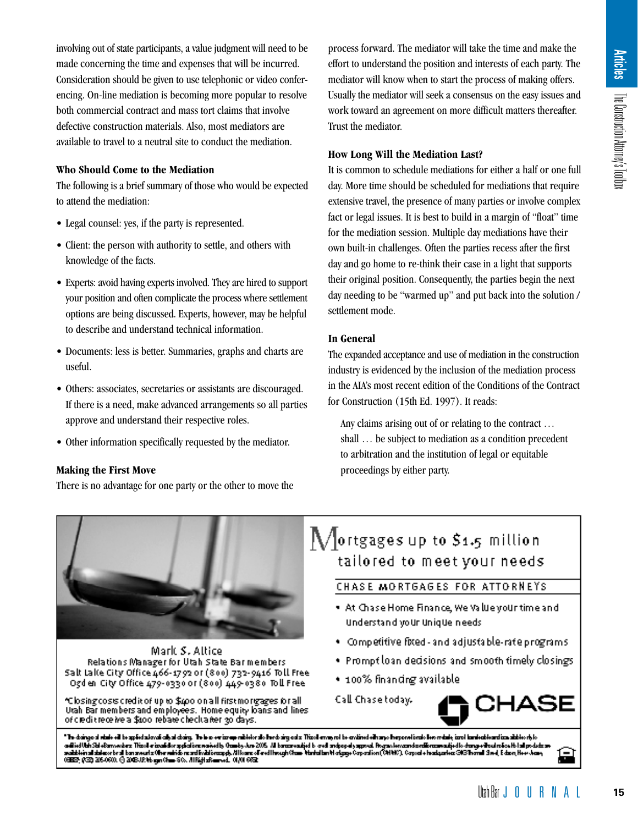involving out of state participants, a value judgment will need to be made concerning the time and expenses that will be incurred. Consideration should be given to use telephonic or video conferencing. On-line mediation is becoming more popular to resolve both commercial contract and mass tort claims that involve defective construction materials. Also, most mediators are available to travel to a neutral site to conduct the mediation.

# **Who Should Come to the Mediation**

The following is a brief summary of those who would be expected to attend the mediation:

- Legal counsel: yes, if the party is represented.
- Client: the person with authority to settle, and others with knowledge of the facts.
- Experts: avoid having experts involved. They are hired to support your position and often complicate the process where settlement options are being discussed. Experts, however, may be helpful to describe and understand technical information.
- Documents: less is better. Summaries, graphs and charts are useful.
- Others: associates, secretaries or assistants are discouraged. If there is a need, make advanced arrangements so all parties approve and understand their respective roles.
- Other information specifically requested by the mediator.

# **Making the First Move**

There is no advantage for one party or the other to move the

process forward. The mediator will take the time and make the effort to understand the position and interests of each party. The mediator will know when to start the process of making offers. Usually the mediator will seek a consensus on the easy issues and work toward an agreement on more difficult matters thereafter. Trust the mediator.

# **How Long Will the Mediation Last?**

It is common to schedule mediations for either a half or one full day. More time should be scheduled for mediations that require extensive travel, the presence of many parties or involve complex fact or legal issues. It is best to build in a margin of "float" time for the mediation session. Multiple day mediations have their own built-in challenges. Often the parties recess after the first day and go home to re-think their case in a light that supports their original position. Consequently, the parties begin the next day needing to be "warmed up" and put back into the solution / settlement mode. Example the aim and matter attention the construction of the attention of the attention of the attention of the solution of the solution of the solution of the solution Attorney in a margin of "float" time<br>parties or invol

# **In General**

The expanded acceptance and use of mediation in the construction industry is evidenced by the inclusion of the mediation process in the AIA's most recent edition of the Conditions of the Contract for Construction (15th Ed. 1997). It reads:

Any claims arising out of or relating to the contract … shall … be subject to mediation as a condition precedent to arbitration and the institution of legal or equitable proceedings by either party.



Mark S. Altice Relations Manager for Utah State Barmembers Salt Lake City Office 466-1792 or (800) 732-9416 Toll Free Ogdien City Office 479-0330 or (800) 449-0380 Toll Free

\*Closing cosis credit of up to \$400 on all first mortgages for all. Urah Bar members and employees. Home equity loans and lines of ciedit receive a \$100 rebate checka her 30 days.

# $\mathop{\bigvee}\nolimits_{\mathop{\hbox{or}}\nolimits}$  ortgages up to \$1.5 million tailored to meet your needs

# CHASE MORTGAGES FOR ATTORNEYS

- At Chase Home Finance, We Value your time and Understand your unique needs
- . Competitive fixed and adjustable-rate programs
- Prompt loan decisions and smooth timely closings.
- 100% financing available.

Call Chase today.



"In dainge sintuk oil to spielalavai alkal dainy. In her or image mblokrate hedring eta Timel emagert to eviimet olimpe hepenviewte investigate inel tunted textimatid to ekt adistical contractor and consideration with the second burst and the second material contractor and the second material consideration of the second material consideration of the second material consideration of the second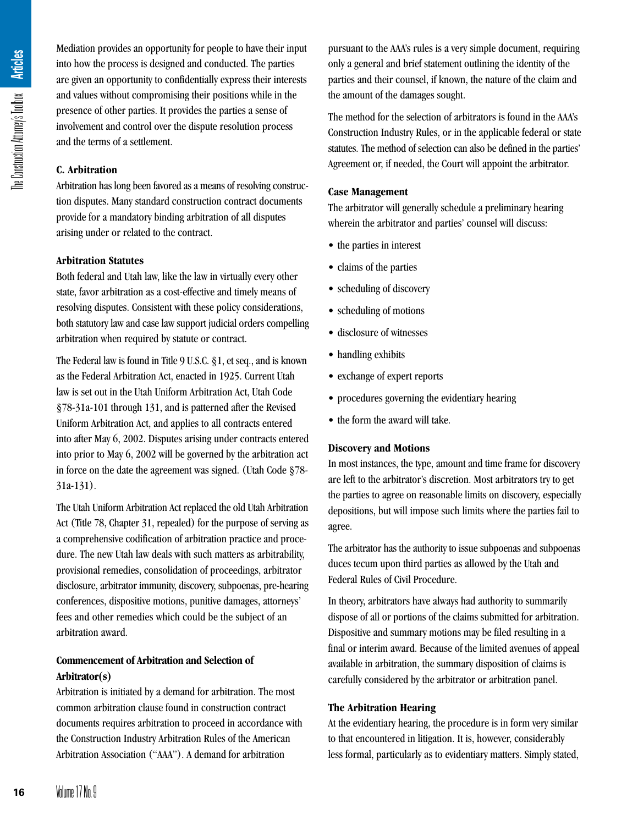Mediation provides an opportunity for people to have their input into how the process is designed and conducted. The parties are given an opportunity to confidentially express their interests and values without compromising their positions while in the presence of other parties. It provides the parties a sense of involvement and control over the dispute resolution process and the terms of a settlement.

# **C. Arbitration**

Arbitration has long been favored as a means of resolving construction disputes. Many standard construction contract documents provide for a mandatory binding arbitration of all disputes arising under or related to the contract.

# **Arbitration Statutes**

Both federal and Utah law, like the law in virtually every other state, favor arbitration as a cost-effective and timely means of resolving disputes. Consistent with these policy considerations, both statutory law and case law support judicial orders compelling arbitration when required by statute or contract.

The Federal law is found in Title 9 U.S.C. §1, et seq., and is known as the Federal Arbitration Act, enacted in 1925. Current Utah law is set out in the Utah Uniform Arbitration Act, Utah Code §78-31a-101 through 131, and is patterned after the Revised Uniform Arbitration Act, and applies to all contracts entered into after May 6, 2002. Disputes arising under contracts entered into prior to May 6, 2002 will be governed by the arbitration act in force on the date the agreement was signed. (Utah Code §78- 31a-131). **1682** Interaction into how the are given a and values presence of involvement and the term of a strip arbitration dispute the ederation of arising und **Arbitration** Book feder state, favore resolving to both statute arbit

The Utah Uniform Arbitration Act replaced the old Utah Arbitration Act (Title 78, Chapter 31, repealed) for the purpose of serving as a comprehensive codification of arbitration practice and procedure. The new Utah law deals with such matters as arbitrability, provisional remedies, consolidation of proceedings, arbitrator disclosure, arbitrator immunity, discovery, subpoenas, pre-hearing conferences, dispositive motions, punitive damages, attorneys' fees and other remedies which could be the subject of an arbitration award.

# **Commencement of Arbitration and Selection of Arbitrator(s)**

Arbitration is initiated by a demand for arbitration. The most common arbitration clause found in construction contract documents requires arbitration to proceed in accordance with the Construction Industry Arbitration Rules of the American Arbitration Association ("AAA"). A demand for arbitration

pursuant to the AAA's rules is a very simple document, requiring only a general and brief statement outlining the identity of the parties and their counsel, if known, the nature of the claim and the amount of the damages sought.

The method for the selection of arbitrators is found in the AAA's Construction Industry Rules, or in the applicable federal or state statutes. The method of selection can also be defined in the parties' Agreement or, if needed, the Court will appoint the arbitrator.

# **Case Management**

The arbitrator will generally schedule a preliminary hearing wherein the arbitrator and parties' counsel will discuss:

- the parties in interest
- claims of the parties
- scheduling of discovery
- scheduling of motions
- disclosure of witnesses
- handling exhibits
- exchange of expert reports
- procedures governing the evidentiary hearing
- the form the award will take.

# **Discovery and Motions**

In most instances, the type, amount and time frame for discovery are left to the arbitrator's discretion. Most arbitrators try to get the parties to agree on reasonable limits on discovery, especially depositions, but will impose such limits where the parties fail to agree.

The arbitrator has the authority to issue subpoenas and subpoenas duces tecum upon third parties as allowed by the Utah and Federal Rules of Civil Procedure.

In theory, arbitrators have always had authority to summarily dispose of all or portions of the claims submitted for arbitration. Dispositive and summary motions may be filed resulting in a final or interim award. Because of the limited avenues of appeal available in arbitration, the summary disposition of claims is carefully considered by the arbitrator or arbitration panel.

# **The Arbitration Hearing**

At the evidentiary hearing, the procedure is in form very similar to that encountered in litigation. It is, however, considerably less formal, particularly as to evidentiary matters. Simply stated,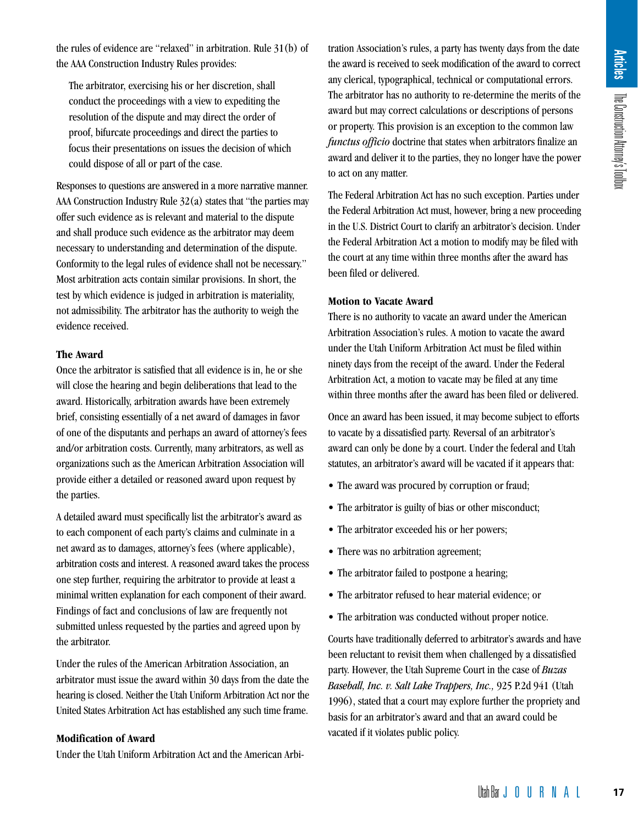the rules of evidence are "relaxed" in arbitration. Rule 31(b) of the AAA Construction Industry Rules provides:

The arbitrator, exercising his or her discretion, shall conduct the proceedings with a view to expediting the resolution of the dispute and may direct the order of proof, bifurcate proceedings and direct the parties to focus their presentations on issues the decision of which could dispose of all or part of the case.

Responses to questions are answered in a more narrative manner. AAA Construction Industry Rule 32(a) states that "the parties may offer such evidence as is relevant and material to the dispute and shall produce such evidence as the arbitrator may deem necessary to understanding and determination of the dispute. Conformity to the legal rules of evidence shall not be necessary." Most arbitration acts contain similar provisions. In short, the test by which evidence is judged in arbitration is materiality, not admissibility. The arbitrator has the authority to weigh the evidence received.

#### **The Award**

Once the arbitrator is satisfied that all evidence is in, he or she will close the hearing and begin deliberations that lead to the award. Historically, arbitration awards have been extremely brief, consisting essentially of a net award of damages in favor of one of the disputants and perhaps an award of attorney's fees and/or arbitration costs. Currently, many arbitrators, as well as organizations such as the American Arbitration Association will provide either a detailed or reasoned award upon request by the parties.

A detailed award must specifically list the arbitrator's award as to each component of each party's claims and culminate in a net award as to damages, attorney's fees (where applicable), arbitration costs and interest. A reasoned award takes the process one step further, requiring the arbitrator to provide at least a minimal written explanation for each component of their award. Findings of fact and conclusions of law are frequently not submitted unless requested by the parties and agreed upon by the arbitrator.

Under the rules of the American Arbitration Association, an arbitrator must issue the award within 30 days from the date the hearing is closed. Neither the Utah Uniform Arbitration Act nor the United States Arbitration Act has established any such time frame.

# **Modification of Award**

Under the Utah Uniform Arbitration Act and the American Arbi-

tration Association's rules, a party has twenty days from the date the award is received to seek modification of the award to correct any clerical, typographical, technical or computational errors. The arbitrator has no authority to re-determine the merits of the award but may correct calculations or descriptions of persons or property. This provision is an exception to the common law *functus officio* doctrine that states when arbitrators finalize an award and deliver it to the parties, they no longer have the power to act on any matter. when we was the merits of the award to correct<br>or computational errors.<br>etermine the merits of the<br>descriptions of persons<br>termine the merits of the<br>descriptions of persons<br>in the common law<br>no longer have the power<br>in exc

The Federal Arbitration Act has no such exception. Parties under the Federal Arbitration Act must, however, bring a new proceeding in the U.S. District Court to clarify an arbitrator's decision. Under the Federal Arbitration Act a motion to modify may be filed with the court at any time within three months after the award has been filed or delivered.

# **Motion to Vacate Award**

There is no authority to vacate an award under the American Arbitration Association's rules. A motion to vacate the award under the Utah Uniform Arbitration Act must be filed within ninety days from the receipt of the award. Under the Federal Arbitration Act, a motion to vacate may be filed at any time within three months after the award has been filed or delivered.

Once an award has been issued, it may become subject to efforts to vacate by a dissatisfied party. Reversal of an arbitrator's award can only be done by a court. Under the federal and Utah statutes, an arbitrator's award will be vacated if it appears that:

- The award was procured by corruption or fraud;
- The arbitrator is guilty of bias or other misconduct;
- The arbitrator exceeded his or her powers;
- There was no arbitration agreement;
- The arbitrator failed to postpone a hearing;
- The arbitrator refused to hear material evidence; or
- The arbitration was conducted without proper notice.

Courts have traditionally deferred to arbitrator's awards and have been reluctant to revisit them when challenged by a dissatisfied party. However, the Utah Supreme Court in the case of *Buzas Baseball, Inc. v. Salt Lake Trappers, Inc.,* 925 P.2d 941 (Utah 1996), stated that a court may explore further the propriety and basis for an arbitrator's award and that an award could be vacated if it violates public policy.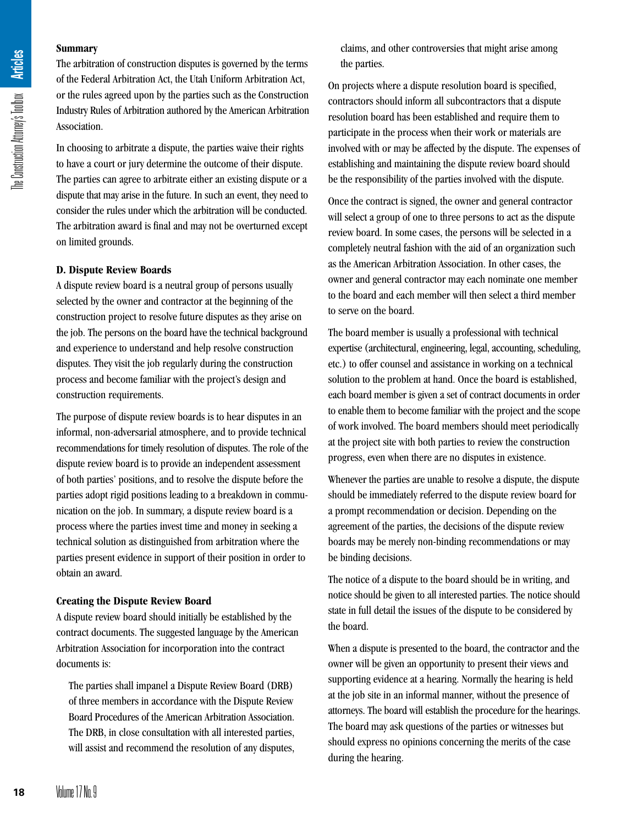#### **Summary**

The arbitration of construction disputes is governed by the terms of the Federal Arbitration Act, the Utah Uniform Arbitration Act, or the rules agreed upon by the parties such as the Construction Industry Rules of Arbitration authored by the American Arbitration Association.

In choosing to arbitrate a dispute, the parties waive their rights to have a court or jury determine the outcome of their dispute. The parties can agree to arbitrate either an existing dispute or a dispute that may arise in the future. In such an event, they need to consider the rules under which the arbitration will be conducted. The arbitration award is final and may not be overturned except on limited grounds.

#### **D. Dispute Review Boards**

A dispute review board is a neutral group of persons usually selected by the owner and contractor at the beginning of the construction project to resolve future disputes as they arise on the job. The persons on the board have the technical background and experience to understand and help resolve construction disputes. They visit the job regularly during the construction process and become familiar with the project's design and construction requirements.

The purpose of dispute review boards is to hear disputes in an informal, non-adversarial atmosphere, and to provide technical recommendations for timely resolution of disputes. The role of the dispute review board is to provide an independent assessment of both parties' positions, and to resolve the dispute before the parties adopt rigid positions leading to a breakdown in communication on the job. In summary, a dispute review board is a process where the parties invest time and money in seeking a technical solution as distinguished from arbitration where the parties present evidence in support of their position in order to obtain an award. **1882**<br> **18 18 i 18 i c o i c o i c o i c o i c o i c o i c o i c o i c c c d s c c c d c c d c c d c c d c c d c c d** 

# **Creating the Dispute Review Board**

A dispute review board should initially be established by the contract documents. The suggested language by the American Arbitration Association for incorporation into the contract documents is:

The parties shall impanel a Dispute Review Board (DRB) of three members in accordance with the Dispute Review Board Procedures of the American Arbitration Association. The DRB, in close consultation with all interested parties, will assist and recommend the resolution of any disputes, claims, and other controversies that might arise among the parties.

On projects where a dispute resolution board is specified, contractors should inform all subcontractors that a dispute resolution board has been established and require them to participate in the process when their work or materials are involved with or may be affected by the dispute. The expenses of establishing and maintaining the dispute review board should be the responsibility of the parties involved with the dispute.

Once the contract is signed, the owner and general contractor will select a group of one to three persons to act as the dispute review board. In some cases, the persons will be selected in a completely neutral fashion with the aid of an organization such as the American Arbitration Association. In other cases, the owner and general contractor may each nominate one member to the board and each member will then select a third member to serve on the board.

The board member is usually a professional with technical expertise (architectural, engineering, legal, accounting, scheduling, etc.) to offer counsel and assistance in working on a technical solution to the problem at hand. Once the board is established, each board member is given a set of contract documents in order to enable them to become familiar with the project and the scope of work involved. The board members should meet periodically at the project site with both parties to review the construction progress, even when there are no disputes in existence.

Whenever the parties are unable to resolve a dispute, the dispute should be immediately referred to the dispute review board for a prompt recommendation or decision. Depending on the agreement of the parties, the decisions of the dispute review boards may be merely non-binding recommendations or may be binding decisions.

The notice of a dispute to the board should be in writing, and notice should be given to all interested parties. The notice should state in full detail the issues of the dispute to be considered by the board.

When a dispute is presented to the board, the contractor and the owner will be given an opportunity to present their views and supporting evidence at a hearing. Normally the hearing is held at the job site in an informal manner, without the presence of attorneys. The board will establish the procedure for the hearings. The board may ask questions of the parties or witnesses but should express no opinions concerning the merits of the case during the hearing.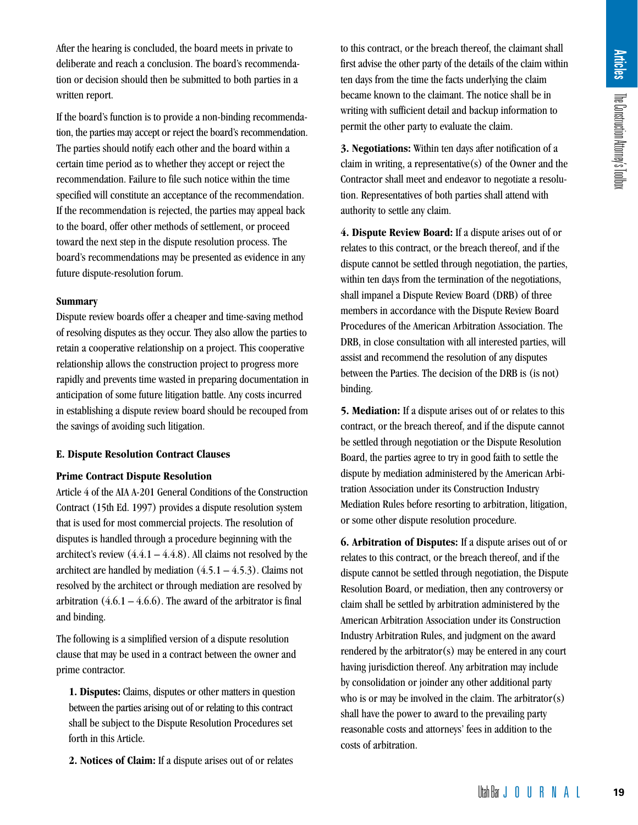After the hearing is concluded, the board meets in private to deliberate and reach a conclusion. The board's recommendation or decision should then be submitted to both parties in a written report.

If the board's function is to provide a non-binding recommendation, the parties may accept or reject the board's recommendation. The parties should notify each other and the board within a certain time period as to whether they accept or reject the recommendation. Failure to file such notice within the time specified will constitute an acceptance of the recommendation. If the recommendation is rejected, the parties may appeal back to the board, offer other methods of settlement, or proceed toward the next step in the dispute resolution process. The board's recommendations may be presented as evidence in any future dispute-resolution forum.

#### **Summary**

Dispute review boards offer a cheaper and time-saving method of resolving disputes as they occur. They also allow the parties to retain a cooperative relationship on a project. This cooperative relationship allows the construction project to progress more rapidly and prevents time wasted in preparing documentation in anticipation of some future litigation battle. Any costs incurred in establishing a dispute review board should be recouped from the savings of avoiding such litigation.

## **E. Dispute Resolution Contract Clauses**

#### **Prime Contract Dispute Resolution**

Article 4 of the AIA A-201 General Conditions of the Construction Contract (15th Ed. 1997) provides a dispute resolution system that is used for most commercial projects. The resolution of disputes is handled through a procedure beginning with the architect's review  $(4.4.1 - 4.4.8)$ . All claims not resolved by the architect are handled by mediation  $(4.5.1 - 4.5.3)$ . Claims not resolved by the architect or through mediation are resolved by arbitration  $(4.6.1 - 4.6.6)$ . The award of the arbitrator is final and binding.

The following is a simplified version of a dispute resolution clause that may be used in a contract between the owner and prime contractor.

**1. Disputes:** Claims, disputes or other matters in question between the parties arising out of or relating to this contract shall be subject to the Dispute Resolution Procedures set forth in this Article.

**2. Notices of Claim:** If a dispute arises out of or relates

to this contract, or the breach thereof, the claimant shall first advise the other party of the details of the claim within ten days from the time the facts underlying the claim became known to the claimant. The notice shall be in writing with sufficient detail and backup information to permit the other party to evaluate the claim.

**3. Negotiations:** Within ten days after notification of a claim in writing, a representative(s) of the Owner and the Contractor shall meet and endeavor to negotiate a resolution. Representatives of both parties shall attend with authority to settle any claim.

**4. Dispute Review Board:** If a dispute arises out of or relates to this contract, or the breach thereof, and if the dispute cannot be settled through negotiation, the parties, within ten days from the termination of the negotiations, shall impanel a Dispute Review Board (DRB) of three members in accordance with the Dispute Review Board Procedures of the American Arbitration Association. The DRB, in close consultation with all interested parties, will assist and recommend the resolution of any disputes between the Parties. The decision of the DRB is (is not) binding.

**5. Mediation:** If a dispute arises out of or relates to this contract, or the breach thereof, and if the dispute cannot be settled through negotiation or the Dispute Resolution Board, the parties agree to try in good faith to settle the dispute by mediation administered by the American Arbitration Association under its Construction Industry Mediation Rules before resorting to arbitration, litigation, or some other dispute resolution procedure.

**6. Arbitration of Disputes:** If a dispute arises out of or relates to this contract, or the breach thereof, and if the dispute cannot be settled through negotiation, the Dispute Resolution Board, or mediation, then any controversy or claim shall be settled by arbitration administered by the American Arbitration Association under its Construction Industry Arbitration Rules, and judgment on the award rendered by the arbitrator(s) may be entered in any court having jurisdiction thereof. Any arbitration may include by consolidation or joinder any other additional party who is or may be involved in the claim. The arbitrator(s) shall have the power to award to the prevailing party reasonable costs and attorneys' fees in addition to the costs of arbitration. Letter the constrained state of the claim within<br>tails of the claim within<br>terlying the claim attention to<br>the claim.<br>Ther notification of a<br>of the Omegotiate a resolu-<br>shall attend with<br>spute arises out of or<br>the constru